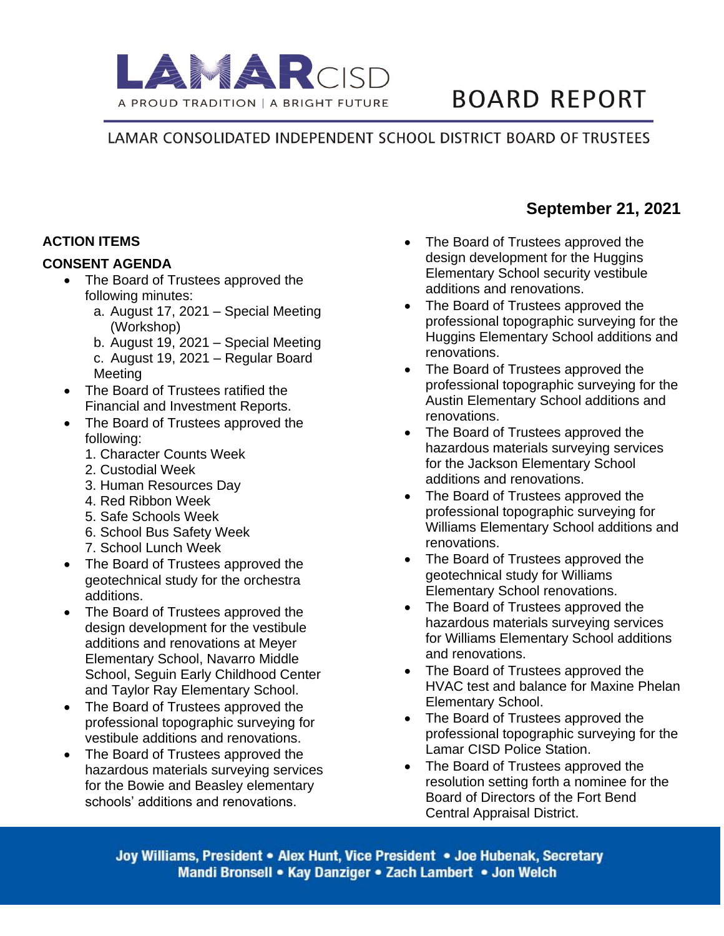

# **BOARD REPORT**

LAMAR CONSOLIDATED INDEPENDENT SCHOOL DISTRICT BOARD OF TRUSTEES

### **ACTION ITEMS**

#### **CONSENT AGENDA**

- The Board of Trustees approved the following minutes:
	- a. August 17, 2021 Special Meeting (Workshop)
	- b. August 19, 2021 Special Meeting
	- c. August 19, 2021 Regular Board Meeting
- The Board of Trustees ratified the Financial and Investment Reports.
- The Board of Trustees approved the following:
	- 1. Character Counts Week
	- 2. Custodial Week
	- 3. Human Resources Day
	- 4. Red Ribbon Week
	- 5. Safe Schools Week
	- 6. School Bus Safety Week
	- 7. School Lunch Week
- The Board of Trustees approved the geotechnical study for the orchestra additions.
- The Board of Trustees approved the design development for the vestibule additions and renovations at Meyer Elementary School, Navarro Middle School, Seguin Early Childhood Center and Taylor Ray Elementary School.
- The Board of Trustees approved the professional topographic surveying for vestibule additions and renovations.
- The Board of Trustees approved the hazardous materials surveying services for the Bowie and Beasley elementary schools' additions and renovations.
- The Board of Trustees approved the design development for the Huggins Elementary School security vestibule additions and renovations.
- The Board of Trustees approved the professional topographic surveying for the Huggins Elementary School additions and renovations.
- The Board of Trustees approved the professional topographic surveying for the Austin Elementary School additions and renovations.
- The Board of Trustees approved the hazardous materials surveying services for the Jackson Elementary School additions and renovations.
- The Board of Trustees approved the professional topographic surveying for Williams Elementary School additions and renovations.
- The Board of Trustees approved the geotechnical study for Williams Elementary School renovations.
- The Board of Trustees approved the hazardous materials surveying services for Williams Elementary School additions and renovations.
- The Board of Trustees approved the HVAC test and balance for Maxine Phelan Elementary School.
- The Board of Trustees approved the professional topographic surveying for the Lamar CISD Police Station.
- The Board of Trustees approved the resolution setting forth a nominee for the Board of Directors of the Fort Bend Central Appraisal District.

Joy Williams, President • Alex Hunt, Vice President • Joe Hubenak, Secretary Mandi Bronsell • Kay Danziger • Zach Lambert • Jon Welch

## **September 21, 2021**